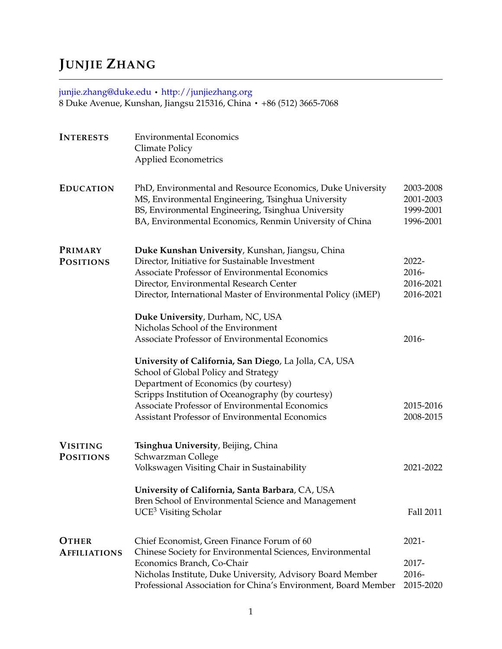# **JUNJIE ZHANG**

## [junjie.zhang@duke.edu](mailto:junjie.zhang@duke.edu) · <http://junjiezhang.org> 8 Duke Avenue, Kunshan, Jiangsu 215316, China · +86 (512) 3665-7068

| <b>INTERESTS</b>                    | <b>Environmental Economics</b><br>Climate Policy<br><b>Applied Econometrics</b>                                                                                                                                                                                                                  |                                                  |
|-------------------------------------|--------------------------------------------------------------------------------------------------------------------------------------------------------------------------------------------------------------------------------------------------------------------------------------------------|--------------------------------------------------|
| <b>EDUCATION</b>                    | PhD, Environmental and Resource Economics, Duke University<br>MS, Environmental Engineering, Tsinghua University<br>BS, Environmental Engineering, Tsinghua University<br>BA, Environmental Economics, Renmin University of China                                                                | 2003-2008<br>2001-2003<br>1999-2001<br>1996-2001 |
| PRIMARY<br><b>POSITIONS</b>         | Duke Kunshan University, Kunshan, Jiangsu, China<br>Director, Initiative for Sustainable Investment<br>Associate Professor of Environmental Economics<br>Director, Environmental Research Center<br>Director, International Master of Environmental Policy (iMEP)                                | 2022-<br>2016-<br>2016-2021<br>2016-2021         |
|                                     | Duke University, Durham, NC, USA<br>Nicholas School of the Environment<br>Associate Professor of Environmental Economics                                                                                                                                                                         | 2016-                                            |
|                                     | University of California, San Diego, La Jolla, CA, USA<br>School of Global Policy and Strategy<br>Department of Economics (by courtesy)<br>Scripps Institution of Oceanography (by courtesy)<br>Associate Professor of Environmental Economics<br>Assistant Professor of Environmental Economics | 2015-2016<br>2008-2015                           |
| <b>VISITING</b><br><b>POSITIONS</b> | Tsinghua University, Beijing, China<br>Schwarzman College<br>Volkswagen Visiting Chair in Sustainability                                                                                                                                                                                         | 2021-2022                                        |
|                                     | University of California, Santa Barbara, CA, USA<br>Bren School of Environmental Science and Management<br>$UCE3$ Visiting Scholar                                                                                                                                                               | Fall 2011                                        |
| <b>OTHER</b><br><b>AFFILIATIONS</b> | Chief Economist, Green Finance Forum of 60<br>Chinese Society for Environmental Sciences, Environmental<br>Economics Branch, Co-Chair<br>Nicholas Institute, Duke University, Advisory Board Member<br>Professional Association for China's Environment, Board Member                            | $2021 -$<br>2017-<br>2016-<br>2015-2020          |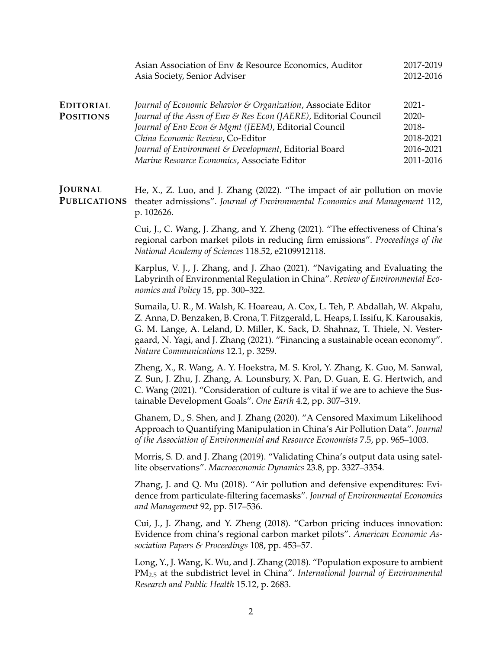|                                      | Asian Association of Env & Resource Economics, Auditor<br>Asia Society, Senior Adviser                                                                                                                                                                                                                                                                                        | 2017-2019<br>2012-2016                                            |
|--------------------------------------|-------------------------------------------------------------------------------------------------------------------------------------------------------------------------------------------------------------------------------------------------------------------------------------------------------------------------------------------------------------------------------|-------------------------------------------------------------------|
| <b>EDITORIAL</b><br><b>POSITIONS</b> | Journal of Economic Behavior & Organization, Associate Editor<br>Journal of the Assn of Env & Res Econ (JAERE), Editorial Council<br>Journal of Env Econ & Mgmt (JEEM), Editorial Council<br>China Economic Review, Co-Editor<br>Journal of Environment & Development, Editorial Board<br>Marine Resource Economics, Associate Editor                                         | $2021 -$<br>2020-<br>2018-<br>2018-2021<br>2016-2021<br>2011-2016 |
| JOURNAL<br><b>PUBLICATIONS</b>       | He, X., Z. Luo, and J. Zhang (2022). "The impact of air pollution on movie<br>theater admissions". Journal of Environmental Economics and Management 112,<br>p. 102626.                                                                                                                                                                                                       |                                                                   |
|                                      | Cui, J., C. Wang, J. Zhang, and Y. Zheng (2021). "The effectiveness of China's<br>regional carbon market pilots in reducing firm emissions". Proceedings of the<br>National Academy of Sciences 118.52, e2109912118.                                                                                                                                                          |                                                                   |
|                                      | Karplus, V. J., J. Zhang, and J. Zhao (2021). "Navigating and Evaluating the<br>Labyrinth of Environmental Regulation in China". Review of Environmental Eco-<br>nomics and Policy 15, pp. 300-322.                                                                                                                                                                           |                                                                   |
|                                      | Sumaila, U. R., M. Walsh, K. Hoareau, A. Cox, L. Teh, P. Abdallah, W. Akpalu,<br>Z. Anna, D. Benzaken, B. Crona, T. Fitzgerald, L. Heaps, I. Issifu, K. Karousakis,<br>G. M. Lange, A. Leland, D. Miller, K. Sack, D. Shahnaz, T. Thiele, N. Vester-<br>gaard, N. Yagi, and J. Zhang (2021). "Financing a sustainable ocean economy".<br>Nature Communications 12.1, p. 3259. |                                                                   |
|                                      | Zheng, X., R. Wang, A. Y. Hoekstra, M. S. Krol, Y. Zhang, K. Guo, M. Sanwal,<br>Z. Sun, J. Zhu, J. Zhang, A. Lounsbury, X. Pan, D. Guan, E. G. Hertwich, and<br>C. Wang (2021). "Consideration of culture is vital if we are to achieve the Sus-<br>tainable Development Goals". One Earth 4.2, pp. 307-319.                                                                  |                                                                   |
|                                      | Ghanem, D., S. Shen, and J. Zhang (2020). "A Censored Maximum Likelihood<br>Approach to Quantifying Manipulation in China's Air Pollution Data". Journal<br>of the Association of Environmental and Resource Economists 7.5, pp. 965–1003.                                                                                                                                    |                                                                   |
|                                      | Morris, S. D. and J. Zhang (2019). "Validating China's output data using satel-<br>lite observations". Macroeconomic Dynamics 23.8, pp. 3327–3354.                                                                                                                                                                                                                            |                                                                   |
|                                      | Zhang, J. and Q. Mu (2018). "Air pollution and defensive expenditures: Evi-<br>dence from particulate-filtering facemasks". Journal of Environmental Economics<br>and Management 92, pp. 517-536.                                                                                                                                                                             |                                                                   |
|                                      | Cui, J., J. Zhang, and Y. Zheng (2018). "Carbon pricing induces innovation:<br>Evidence from china's regional carbon market pilots". American Economic As-<br>sociation Papers & Proceedings 108, pp. 453-57.                                                                                                                                                                 |                                                                   |
|                                      | Long, Y., J. Wang, K. Wu, and J. Zhang (2018). "Population exposure to ambient<br>$PM_{2.5}$ at the subdistrict level in China". International Journal of Environmental<br>Research and Public Health 15.12, p. 2683.                                                                                                                                                         |                                                                   |
|                                      | $\overline{2}$                                                                                                                                                                                                                                                                                                                                                                |                                                                   |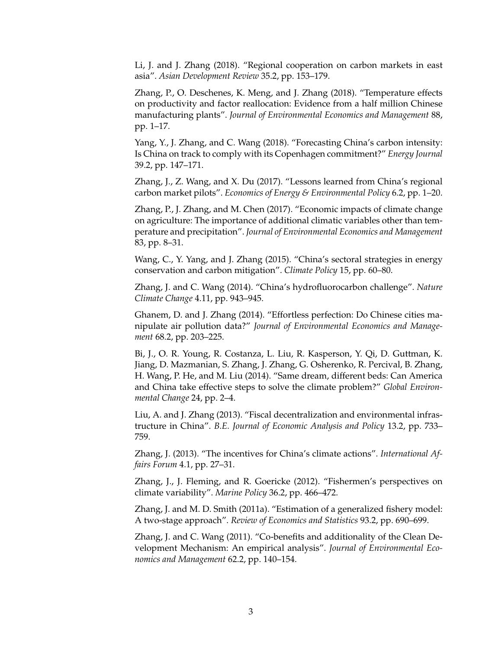Li, J. and J. Zhang (2018). "Regional cooperation on carbon markets in east asia". *Asian Development Review* 35.2, pp. 153–179.

Zhang, P., O. Deschenes, K. Meng, and J. Zhang (2018). "Temperature effects on productivity and factor reallocation: Evidence from a half million Chinese manufacturing plants". *Journal of Environmental Economics and Management* 88, pp. 1–17.

Yang, Y., J. Zhang, and C. Wang (2018). "Forecasting China's carbon intensity: Is China on track to comply with its Copenhagen commitment?" *Energy Journal* 39.2, pp. 147–171.

Zhang, J., Z. Wang, and X. Du (2017). "Lessons learned from China's regional carbon market pilots". *Economics of Energy & Environmental Policy* 6.2, pp. 1–20.

Zhang, P., J. Zhang, and M. Chen (2017). "Economic impacts of climate change on agriculture: The importance of additional climatic variables other than temperature and precipitation". *Journal of Environmental Economics and Management* 83, pp. 8–31.

Wang, C., Y. Yang, and J. Zhang (2015). "China's sectoral strategies in energy conservation and carbon mitigation". *Climate Policy* 15, pp. 60–80.

Zhang, J. and C. Wang (2014). "China's hydrofluorocarbon challenge". *Nature Climate Change* 4.11, pp. 943–945.

Ghanem, D. and J. Zhang (2014). "Effortless perfection: Do Chinese cities manipulate air pollution data?" *Journal of Environmental Economics and Management* 68.2, pp. 203–225.

Bi, J., O. R. Young, R. Costanza, L. Liu, R. Kasperson, Y. Qi, D. Guttman, K. Jiang, D. Mazmanian, S. Zhang, J. Zhang, G. Osherenko, R. Percival, B. Zhang, H. Wang, P. He, and M. Liu (2014). "Same dream, different beds: Can America and China take effective steps to solve the climate problem?" *Global Environmental Change* 24, pp. 2–4.

Liu, A. and J. Zhang (2013). "Fiscal decentralization and environmental infrastructure in China". *B.E. Journal of Economic Analysis and Policy* 13.2, pp. 733– 759.

Zhang, J. (2013). "The incentives for China's climate actions". *International Affairs Forum* 4.1, pp. 27–31.

Zhang, J., J. Fleming, and R. Goericke (2012). "Fishermen's perspectives on climate variability". *Marine Policy* 36.2, pp. 466–472.

Zhang, J. and M. D. Smith (2011a). "Estimation of a generalized fishery model: A two-stage approach". *Review of Economics and Statistics* 93.2, pp. 690–699.

Zhang, J. and C. Wang (2011). "Co-benefits and additionality of the Clean Development Mechanism: An empirical analysis". *Journal of Environmental Economics and Management* 62.2, pp. 140–154.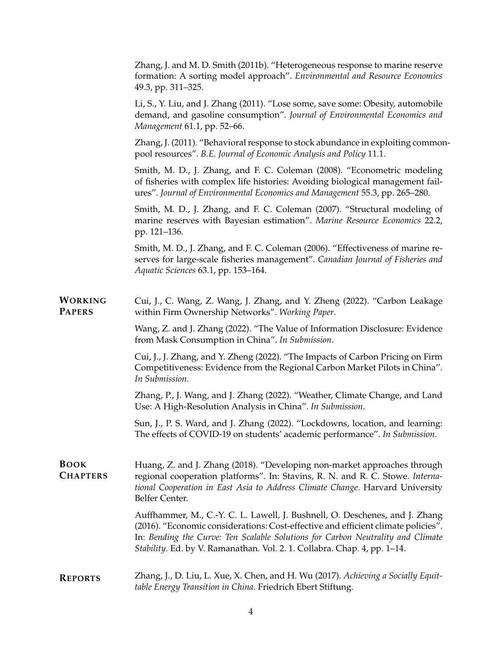|                                 | Zhang, J. and M. D. Smith (2011b). "Heterogeneous response to marine reserve<br>formation: A sorting model approach". Environmental and Resource Economics<br>49.3, pp. 311-325.                                                                                                                                                |
|---------------------------------|---------------------------------------------------------------------------------------------------------------------------------------------------------------------------------------------------------------------------------------------------------------------------------------------------------------------------------|
|                                 | Li, S., Y. Liu, and J. Zhang (2011). "Lose some, save some: Obesity, automobile<br>demand, and gasoline consumption". Journal of Environmental Economics and<br>Management 61.1, pp. 52-66.                                                                                                                                     |
|                                 | Zhang, J. (2011). "Behavioral response to stock abundance in exploiting common-<br>pool resources". B.E. Journal of Economic Analysis and Policy 11.1.                                                                                                                                                                          |
|                                 | Smith, M. D., J. Zhang, and F. C. Coleman (2008). "Econometric modeling<br>of fisheries with complex life histories: Avoiding biological management fail-<br>ures". Journal of Environmental Economics and Management 55.3, pp. 265–280.                                                                                        |
|                                 | Smith, M. D., J. Zhang, and F. C. Coleman (2007). "Structural modeling of<br>marine reserves with Bayesian estimation". Marine Resource Economics 22.2,<br>pp. 121–136.                                                                                                                                                         |
|                                 | Smith, M. D., J. Zhang, and F. C. Coleman (2006). "Effectiveness of marine re-<br>serves for large-scale fisheries management". Canadian Journal of Fisheries and<br>Aquatic Sciences 63.1, pp. 153-164.                                                                                                                        |
| <b>WORKING</b><br><b>PAPERS</b> | Cui, J., C. Wang, Z. Wang, J. Zhang, and Y. Zheng (2022). "Carbon Leakage<br>within Firm Ownership Networks". Working Paper.                                                                                                                                                                                                    |
|                                 | Wang, Z. and J. Zhang (2022). "The Value of Information Disclosure: Evidence<br>from Mask Consumption in China". In Submission.                                                                                                                                                                                                 |
|                                 | Cui, J., J. Zhang, and Y. Zheng (2022). "The Impacts of Carbon Pricing on Firm<br>Competitiveness: Evidence from the Regional Carbon Market Pilots in China".<br>In Submission.                                                                                                                                                 |
|                                 | Zhang, P., J. Wang, and J. Zhang (2022). "Weather, Climate Change, and Land<br>Use: A High-Resolution Analysis in China". In Submission.                                                                                                                                                                                        |
|                                 | Sun, J., P. S. Ward, and J. Zhang (2022). "Lockdowns, location, and learning:<br>The effects of COVID-19 on students' academic performance". In Submission.                                                                                                                                                                     |
| <b>BOOK</b><br><b>CHAPTERS</b>  | Huang, Z. and J. Zhang (2018). "Developing non-market approaches through<br>regional cooperation platforms". In: Stavins, R. N. and R. C. Stowe. Interna-<br>tional Cooperation in East Asia to Address Climate Change. Harvard University<br>Belfer Center.                                                                    |
|                                 | Auffhammer, M., C.-Y. C. L. Lawell, J. Bushnell, O. Deschenes, and J. Zhang<br>(2016). "Economic considerations: Cost-effective and efficient climate policies".<br>In: Bending the Curve: Ten Scalable Solutions for Carbon Neutrality and Climate<br>Stability. Ed. by V. Ramanathan. Vol. 2. 1. Collabra. Chap. 4, pp. 1-14. |
| <b>REPORTS</b>                  | Zhang, J., D. Liu, L. Xue, X. Chen, and H. Wu (2017). Achieving a Socially Equit-<br>table Energy Transition in China. Friedrich Ebert Stiftung.                                                                                                                                                                                |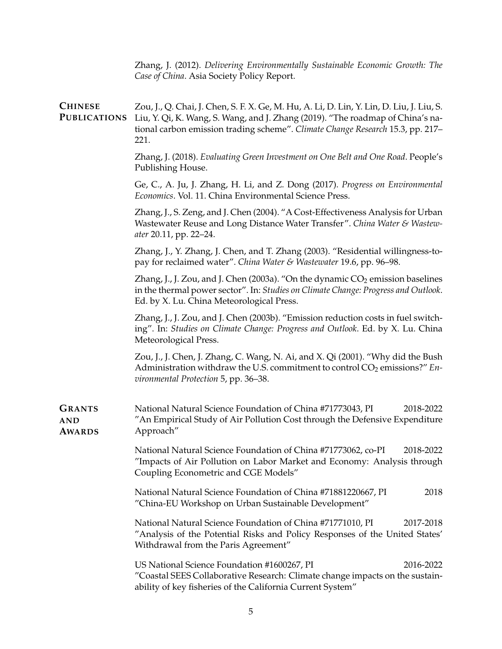Zhang, J. (2012). *Delivering Environmentally Sustainable Economic Growth: The Case of China*. Asia Society Policy Report.

**CHINESE PUBLICATIONS** Zou, J., Q. Chai, J. Chen, S. F. X. Ge, M. Hu, A. Li, D. Lin, Y. Lin, D. Liu, J. Liu, S. Liu, Y. Qi, K. Wang, S. Wang, and J. Zhang (2019). "The roadmap of China's national carbon emission trading scheme". *Climate Change Research* 15.3, pp. 217– 221.

> Zhang, J. (2018). *Evaluating Green Investment on One Belt and One Road*. People's Publishing House.

> Ge, C., A. Ju, J. Zhang, H. Li, and Z. Dong (2017). *Progress on Environmental Economics*. Vol. 11. China Environmental Science Press.

> Zhang, J., S. Zeng, and J. Chen (2004). "A Cost-Effectiveness Analysis for Urban Wastewater Reuse and Long Distance Water Transfer". *China Water & Wastewater* 20.11, pp. 22–24.

> Zhang, J., Y. Zhang, J. Chen, and T. Zhang (2003). "Residential willingness-topay for reclaimed water". *China Water & Wastewater* 19.6, pp. 96–98.

> Zhang, J., J. Zou, and J. Chen (2003a). "On the dynamic  $CO_2$  emission baselines in the thermal power sector". In: *Studies on Climate Change: Progress and Outlook*. Ed. by X. Lu. China Meteorological Press.

> Zhang, J., J. Zou, and J. Chen (2003b). "Emission reduction costs in fuel switching". In: *Studies on Climate Change: Progress and Outlook*. Ed. by X. Lu. China Meteorological Press.

> Zou, J., J. Chen, J. Zhang, C. Wang, N. Ai, and X. Qi (2001). "Why did the Bush Administration withdraw the U.S. commitment to control CO<sub>2</sub> emissions?" *Environmental Protection* 5, pp. 36–38.

**GRANTS AND AWARDS** National Natural Science Foundation of China #71773043, PI 2018-2022 "An Empirical Study of Air Pollution Cost through the Defensive Expenditure Approach"

> National Natural Science Foundation of China #71773062, co-PI 2018-2022 "Impacts of Air Pollution on Labor Market and Economy: Analysis through Coupling Econometric and CGE Models"

> National Natural Science Foundation of China #71881220667, PI 2018 "China-EU Workshop on Urban Sustainable Development"

> National Natural Science Foundation of China #71771010, PI 2017-2018 "Analysis of the Potential Risks and Policy Responses of the United States' Withdrawal from the Paris Agreement"

> US National Science Foundation #1600267, PI 2016-2022 "Coastal SEES Collaborative Research: Climate change impacts on the sustainability of key fisheries of the California Current System"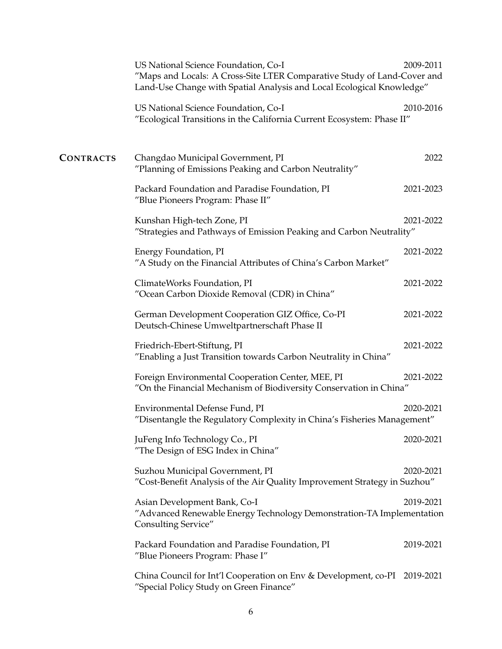|                  | US National Science Foundation, Co-I<br>"Maps and Locals: A Cross-Site LTER Comparative Study of Land-Cover and<br>Land-Use Change with Spatial Analysis and Local Ecological Knowledge" | 2009-2011 |
|------------------|------------------------------------------------------------------------------------------------------------------------------------------------------------------------------------------|-----------|
|                  | US National Science Foundation, Co-I<br>"Ecological Transitions in the California Current Ecosystem: Phase II"                                                                           | 2010-2016 |
| <b>CONTRACTS</b> | Changdao Municipal Government, PI<br>"Planning of Emissions Peaking and Carbon Neutrality"                                                                                               | 2022      |
|                  | Packard Foundation and Paradise Foundation, PI<br>"Blue Pioneers Program: Phase II"                                                                                                      | 2021-2023 |
|                  | Kunshan High-tech Zone, PI<br>"Strategies and Pathways of Emission Peaking and Carbon Neutrality"                                                                                        | 2021-2022 |
|                  | Energy Foundation, PI<br>"A Study on the Financial Attributes of China's Carbon Market"                                                                                                  | 2021-2022 |
|                  | ClimateWorks Foundation, PI<br>"Ocean Carbon Dioxide Removal (CDR) in China"                                                                                                             | 2021-2022 |
|                  | German Development Cooperation GIZ Office, Co-PI<br>Deutsch-Chinese Umweltpartnerschaft Phase II                                                                                         | 2021-2022 |
|                  | Friedrich-Ebert-Stiftung, PI<br>"Enabling a Just Transition towards Carbon Neutrality in China"                                                                                          | 2021-2022 |
|                  | Foreign Environmental Cooperation Center, MEE, PI<br>"On the Financial Mechanism of Biodiversity Conservation in China"                                                                  | 2021-2022 |
|                  | Environmental Defense Fund, PI<br>"Disentangle the Regulatory Complexity in China's Fisheries Management"                                                                                | 2020-2021 |
|                  | JuFeng Info Technology Co., PI<br>"The Design of ESG Index in China"                                                                                                                     | 2020-2021 |
|                  | Suzhou Municipal Government, PI<br>"Cost-Benefit Analysis of the Air Quality Improvement Strategy in Suzhou"                                                                             | 2020-2021 |
|                  | Asian Development Bank, Co-I<br>"Advanced Renewable Energy Technology Demonstration-TA Implementation<br>Consulting Service"                                                             | 2019-2021 |
|                  | Packard Foundation and Paradise Foundation, PI<br>"Blue Pioneers Program: Phase I"                                                                                                       | 2019-2021 |
|                  | China Council for Int'l Cooperation on Env & Development, co-PI 2019-2021<br>"Special Policy Study on Green Finance"                                                                     |           |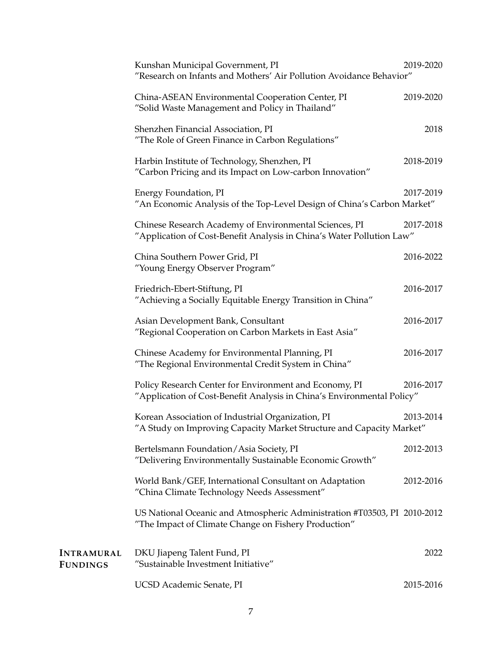|                                      | Kunshan Municipal Government, PI<br>"Research on Infants and Mothers' Air Pollution Avoidance Behavior"                          | 2019-2020 |
|--------------------------------------|----------------------------------------------------------------------------------------------------------------------------------|-----------|
|                                      | China-ASEAN Environmental Cooperation Center, PI<br>"Solid Waste Management and Policy in Thailand"                              | 2019-2020 |
|                                      | Shenzhen Financial Association, PI<br>"The Role of Green Finance in Carbon Regulations"                                          | 2018      |
|                                      | Harbin Institute of Technology, Shenzhen, PI<br>"Carbon Pricing and its Impact on Low-carbon Innovation"                         | 2018-2019 |
|                                      | Energy Foundation, PI<br>"An Economic Analysis of the Top-Level Design of China's Carbon Market"                                 | 2017-2019 |
|                                      | Chinese Research Academy of Environmental Sciences, PI<br>"Application of Cost-Benefit Analysis in China's Water Pollution Law"  | 2017-2018 |
|                                      | China Southern Power Grid, PI<br>"Young Energy Observer Program"                                                                 | 2016-2022 |
|                                      | Friedrich-Ebert-Stiftung, PI<br>"Achieving a Socially Equitable Energy Transition in China"                                      | 2016-2017 |
|                                      | Asian Development Bank, Consultant<br>"Regional Cooperation on Carbon Markets in East Asia"                                      | 2016-2017 |
|                                      | Chinese Academy for Environmental Planning, PI<br>"The Regional Environmental Credit System in China"                            | 2016-2017 |
|                                      | Policy Research Center for Environment and Economy, PI<br>"Application of Cost-Benefit Analysis in China's Environmental Policy" | 2016-2017 |
|                                      | Korean Association of Industrial Organization, PI<br>"A Study on Improving Capacity Market Structure and Capacity Market"        | 2013-2014 |
|                                      | Bertelsmann Foundation/Asia Society, PI<br>"Delivering Environmentally Sustainable Economic Growth"                              | 2012-2013 |
|                                      | World Bank/GEF, International Consultant on Adaptation<br>"China Climate Technology Needs Assessment"                            | 2012-2016 |
|                                      | US National Oceanic and Atmospheric Administration #T03503, PI 2010-2012<br>"The Impact of Climate Change on Fishery Production" |           |
| <b>INTRAMURAL</b><br><b>FUNDINGS</b> | DKU Jiapeng Talent Fund, PI<br>"Sustainable Investment Initiative"                                                               | 2022      |
|                                      | UCSD Academic Senate, PI                                                                                                         | 2015-2016 |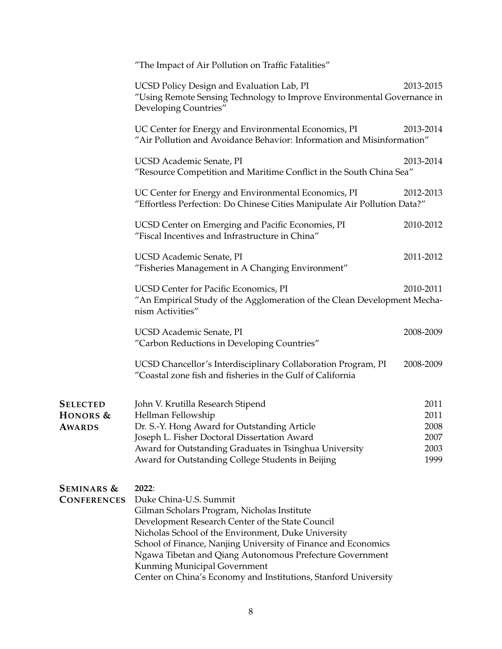"The Impact of Air Pollution on Traffic Fatalities"

|                                              | UCSD Policy Design and Evaluation Lab, PI<br>"Using Remote Sensing Technology to Improve Environmental Governance in<br>Developing Countries"                                                                                                                                                                                                                                                                              | 2013-2015                                    |
|----------------------------------------------|----------------------------------------------------------------------------------------------------------------------------------------------------------------------------------------------------------------------------------------------------------------------------------------------------------------------------------------------------------------------------------------------------------------------------|----------------------------------------------|
|                                              | UC Center for Energy and Environmental Economics, PI<br>"Air Pollution and Avoidance Behavior: Information and Misinformation"                                                                                                                                                                                                                                                                                             | 2013-2014                                    |
|                                              | UCSD Academic Senate, PI<br>"Resource Competition and Maritime Conflict in the South China Sea"                                                                                                                                                                                                                                                                                                                            | 2013-2014                                    |
|                                              | UC Center for Energy and Environmental Economics, PI<br>"Effortless Perfection: Do Chinese Cities Manipulate Air Pollution Data?"                                                                                                                                                                                                                                                                                          | 2012-2013                                    |
|                                              | UCSD Center on Emerging and Pacific Economies, PI<br>"Fiscal Incentives and Infrastructure in China"                                                                                                                                                                                                                                                                                                                       | 2010-2012                                    |
|                                              | UCSD Academic Senate, PI<br>"Fisheries Management in A Changing Environment"                                                                                                                                                                                                                                                                                                                                               | 2011-2012                                    |
|                                              | <b>UCSD Center for Pacific Economics, PI</b><br>"An Empirical Study of the Agglomeration of the Clean Development Mecha-<br>nism Activities"                                                                                                                                                                                                                                                                               | 2010-2011                                    |
|                                              | UCSD Academic Senate, PI<br>"Carbon Reductions in Developing Countries"                                                                                                                                                                                                                                                                                                                                                    | 2008-2009                                    |
|                                              | UCSD Chancellor's Interdisciplinary Collaboration Program, PI<br>"Coastal zone fish and fisheries in the Gulf of California                                                                                                                                                                                                                                                                                                | 2008-2009                                    |
| <b>SELECTED</b><br>HONORS &<br><b>AWARDS</b> | John V. Krutilla Research Stipend<br>Hellman Fellowship<br>Dr. S.-Y. Hong Award for Outstanding Article<br>Joseph L. Fisher Doctoral Dissertation Award<br>Award for Outstanding Graduates in Tsinghua University<br>Award for Outstanding College Students in Beijing                                                                                                                                                     | 2011<br>2011<br>2008<br>2007<br>2003<br>1999 |
| <b>SEMINARS &amp;</b><br><b>CONFERENCES</b>  | 2022:<br>Duke China-U.S. Summit<br>Gilman Scholars Program, Nicholas Institute<br>Development Research Center of the State Council<br>Nicholas School of the Environment, Duke University<br>School of Finance, Nanjing University of Finance and Economics<br>Ngawa Tibetan and Qiang Autonomous Prefecture Government<br>Kunming Municipal Government<br>Center on China's Economy and Institutions, Stanford University |                                              |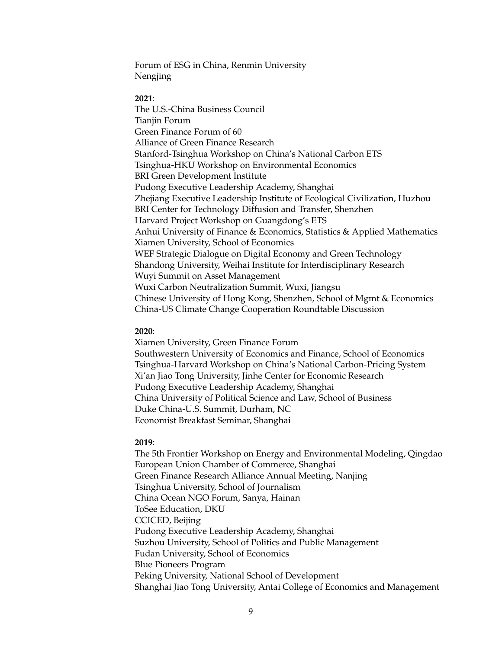Forum of ESG in China, Renmin University Nengjing

#### **2021**:

The U.S.-China Business Council Tianjin Forum Green Finance Forum of 60 Alliance of Green Finance Research Stanford-Tsinghua Workshop on China's National Carbon ETS Tsinghua-HKU Workshop on Environmental Economics BRI Green Development Institute Pudong Executive Leadership Academy, Shanghai Zhejiang Executive Leadership Institute of Ecological Civilization, Huzhou BRI Center for Technology Diffusion and Transfer, Shenzhen Harvard Project Workshop on Guangdong's ETS Anhui University of Finance & Economics, Statistics & Applied Mathematics Xiamen University, School of Economics WEF Strategic Dialogue on Digital Economy and Green Technology Shandong University, Weihai Institute for Interdisciplinary Research Wuyi Summit on Asset Management Wuxi Carbon Neutralization Summit, Wuxi, Jiangsu Chinese University of Hong Kong, Shenzhen, School of Mgmt & Economics China-US Climate Change Cooperation Roundtable Discussion

#### **2020**:

Xiamen University, Green Finance Forum Southwestern University of Economics and Finance, School of Economics Tsinghua-Harvard Workshop on China's National Carbon-Pricing System Xi'an Jiao Tong University, Jinhe Center for Economic Research Pudong Executive Leadership Academy, Shanghai China University of Political Science and Law, School of Business Duke China-U.S. Summit, Durham, NC Economist Breakfast Seminar, Shanghai

#### **2019**:

The 5th Frontier Workshop on Energy and Environmental Modeling, Qingdao European Union Chamber of Commerce, Shanghai Green Finance Research Alliance Annual Meeting, Nanjing Tsinghua University, School of Journalism China Ocean NGO Forum, Sanya, Hainan ToSee Education, DKU CCICED, Beijing Pudong Executive Leadership Academy, Shanghai Suzhou University, School of Politics and Public Management Fudan University, School of Economics Blue Pioneers Program Peking University, National School of Development Shanghai Jiao Tong University, Antai College of Economics and Management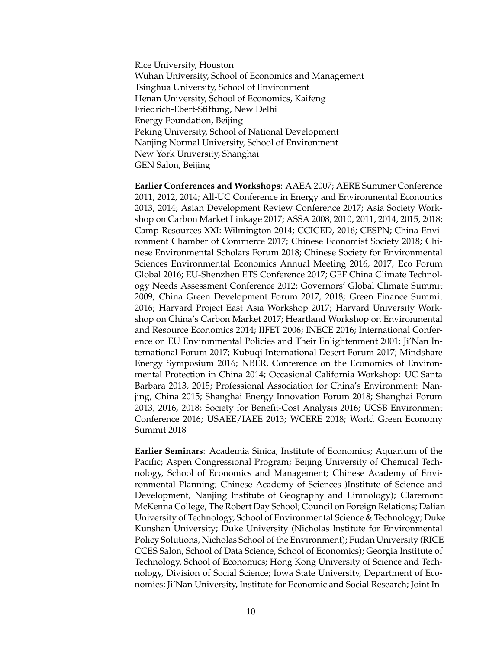Rice University, Houston Wuhan University, School of Economics and Management Tsinghua University, School of Environment Henan University, School of Economics, Kaifeng Friedrich-Ebert-Stiftung, New Delhi Energy Foundation, Beijing Peking University, School of National Development Nanjing Normal University, School of Environment New York University, Shanghai GEN Salon, Beijing

**Earlier Conferences and Workshops**: AAEA 2007; AERE Summer Conference 2011, 2012, 2014; All-UC Conference in Energy and Environmental Economics 2013, 2014; Asian Development Review Conference 2017; Asia Society Workshop on Carbon Market Linkage 2017; ASSA 2008, 2010, 2011, 2014, 2015, 2018; Camp Resources XXI: Wilmington 2014; CCICED, 2016; CESPN; China Environment Chamber of Commerce 2017; Chinese Economist Society 2018; Chinese Environmental Scholars Forum 2018; Chinese Society for Environmental Sciences Environmental Economics Annual Meeting 2016, 2017; Eco Forum Global 2016; EU-Shenzhen ETS Conference 2017; GEF China Climate Technology Needs Assessment Conference 2012; Governors' Global Climate Summit 2009; China Green Development Forum 2017, 2018; Green Finance Summit 2016; Harvard Project East Asia Workshop 2017; Harvard University Workshop on China's Carbon Market 2017; Heartland Workshop on Environmental and Resource Economics 2014; IIFET 2006; INECE 2016; International Conference on EU Environmental Policies and Their Enlightenment 2001; Ji'Nan International Forum 2017; Kubuqi International Desert Forum 2017; Mindshare Energy Symposium 2016; NBER, Conference on the Economics of Environmental Protection in China 2014; Occasional California Workshop: UC Santa Barbara 2013, 2015; Professional Association for China's Environment: Nanjing, China 2015; Shanghai Energy Innovation Forum 2018; Shanghai Forum 2013, 2016, 2018; Society for Benefit-Cost Analysis 2016; UCSB Environment Conference 2016; USAEE/IAEE 2013; WCERE 2018; World Green Economy Summit 2018

**Earlier Seminars**: Academia Sinica, Institute of Economics; Aquarium of the Pacific; Aspen Congressional Program; Beijing University of Chemical Technology, School of Economics and Management; Chinese Academy of Environmental Planning; Chinese Academy of Sciences )Institute of Science and Development, Nanjing Institute of Geography and Limnology); Claremont McKenna College, The Robert Day School; Council on Foreign Relations; Dalian University of Technology, School of Environmental Science & Technology; Duke Kunshan University; Duke University (Nicholas Institute for Environmental Policy Solutions, Nicholas School of the Environment); Fudan University (RICE CCES Salon, School of Data Science, School of Economics); Georgia Institute of Technology, School of Economics; Hong Kong University of Science and Technology, Division of Social Science; Iowa State University, Department of Economics; Ji'Nan University, Institute for Economic and Social Research; Joint In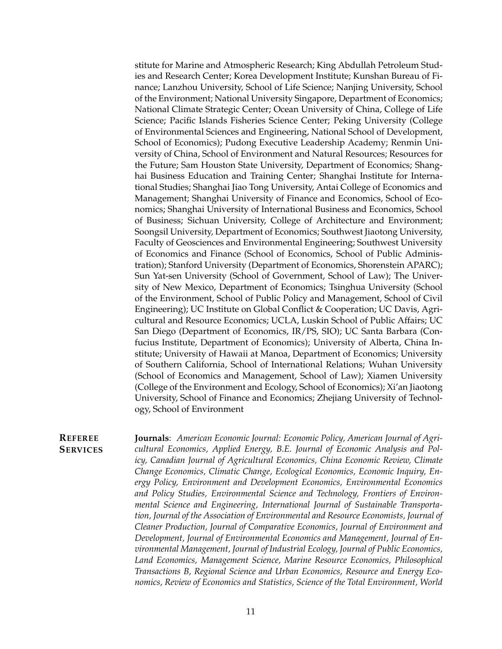stitute for Marine and Atmospheric Research; King Abdullah Petroleum Studies and Research Center; Korea Development Institute; Kunshan Bureau of Finance; Lanzhou University, School of Life Science; Nanjing University, School of the Environment; National University Singapore, Department of Economics; National Climate Strategic Center; Ocean University of China, College of Life Science; Pacific Islands Fisheries Science Center; Peking University (College of Environmental Sciences and Engineering, National School of Development, School of Economics); Pudong Executive Leadership Academy; Renmin University of China, School of Environment and Natural Resources; Resources for the Future; Sam Houston State University, Department of Economics; Shanghai Business Education and Training Center; Shanghai Institute for International Studies; Shanghai Jiao Tong University, Antai College of Economics and Management; Shanghai University of Finance and Economics, School of Economics; Shanghai University of International Business and Economics, School of Business; Sichuan University, College of Architecture and Environment; Soongsil University, Department of Economics; Southwest Jiaotong University, Faculty of Geosciences and Environmental Engineering; Southwest University of Economics and Finance (School of Economics, School of Public Administration); Stanford University (Department of Economics, Shorenstein APARC); Sun Yat-sen University (School of Government, School of Law); The University of New Mexico, Department of Economics; Tsinghua University (School of the Environment, School of Public Policy and Management, School of Civil Engineering); UC Institute on Global Conflict & Cooperation; UC Davis, Agricultural and Resource Economics; UCLA, Luskin School of Public Affairs; UC San Diego (Department of Economics, IR/PS, SIO); UC Santa Barbara (Confucius Institute, Department of Economics); University of Alberta, China Institute; University of Hawaii at Manoa, Department of Economics; University of Southern California, School of International Relations; Wuhan University (School of Economics and Management, School of Law); Xiamen University (College of the Environment and Ecology, School of Economics); Xi'an Jiaotong University, School of Finance and Economics; Zhejiang University of Technology, School of Environment

#### **REFEREE SERVICES**

**Journals**: *American Economic Journal: Economic Policy, American Journal of Agricultural Economics, Applied Energy, B.E. Journal of Economic Analysis and Policy, Canadian Journal of Agricultural Economics, China Economic Review, Climate Change Economics, Climatic Change, Ecological Economics, Economic Inquiry, Energy Policy, Environment and Development Economics, Environmental Economics and Policy Studies, Environmental Science and Technology, Frontiers of Environmental Science and Engineering, International Journal of Sustainable Transportation, Journal of the Association of Environmental and Resource Economists, Journal of Cleaner Production, Journal of Comparative Economics, Journal of Environment and Development, Journal of Environmental Economics and Management, Journal of Environmental Management, Journal of Industrial Ecology, Journal of Public Economics, Land Economics, Management Science, Marine Resource Economics, Philosophical Transactions B, Regional Science and Urban Economics, Resource and Energy Economics, Review of Economics and Statistics, Science of the Total Environment, World*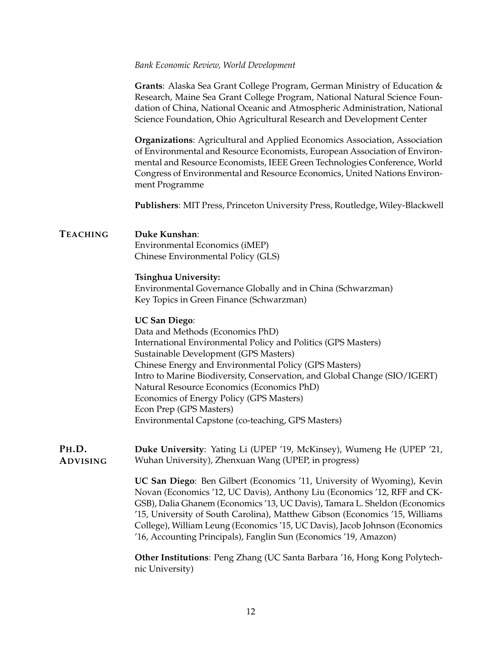#### *Bank Economic Review, World Development*

**Grants**: Alaska Sea Grant College Program, German Ministry of Education & Research, Maine Sea Grant College Program, National Natural Science Foundation of China, National Oceanic and Atmospheric Administration, National Science Foundation, Ohio Agricultural Research and Development Center

**Organizations**: Agricultural and Applied Economics Association, Association of Environmental and Resource Economists, European Association of Environmental and Resource Economists, IEEE Green Technologies Conference, World Congress of Environmental and Resource Economics, United Nations Environment Programme

**Publishers**: MIT Press, Princeton University Press, Routledge, Wiley-Blackwell

### **TEACHING Duke Kunshan**:

Environmental Economics (iMEP) Chinese Environmental Policy (GLS)

#### **Tsinghua University:**

Environmental Governance Globally and in China (Schwarzman) Key Topics in Green Finance (Schwarzman)

### **UC San Diego**:

Data and Methods (Economics PhD) International Environmental Policy and Politics (GPS Masters) Sustainable Development (GPS Masters) Chinese Energy and Environmental Policy (GPS Masters) Intro to Marine Biodiversity, Conservation, and Global Change (SIO/IGERT) Natural Resource Economics (Economics PhD) Economics of Energy Policy (GPS Masters) Econ Prep (GPS Masters) Environmental Capstone (co-teaching, GPS Masters)

#### **PH.D. ADVISING Duke University**: Yating Li (UPEP '19, McKinsey), Wumeng He (UPEP '21, Wuhan University), Zhenxuan Wang (UPEP, in progress)

**UC San Diego**: Ben Gilbert (Economics '11, University of Wyoming), Kevin Novan (Economics '12, UC Davis), Anthony Liu (Economics '12, RFF and CK-GSB), Dalia Ghanem (Economics '13, UC Davis), Tamara L. Sheldon (Economics '15, University of South Carolina), Matthew Gibson (Economics '15, Williams College), William Leung (Economics '15, UC Davis), Jacob Johnson (Economics '16, Accounting Principals), Fanglin Sun (Economics '19, Amazon)

**Other Institutions**: Peng Zhang (UC Santa Barbara '16, Hong Kong Polytechnic University)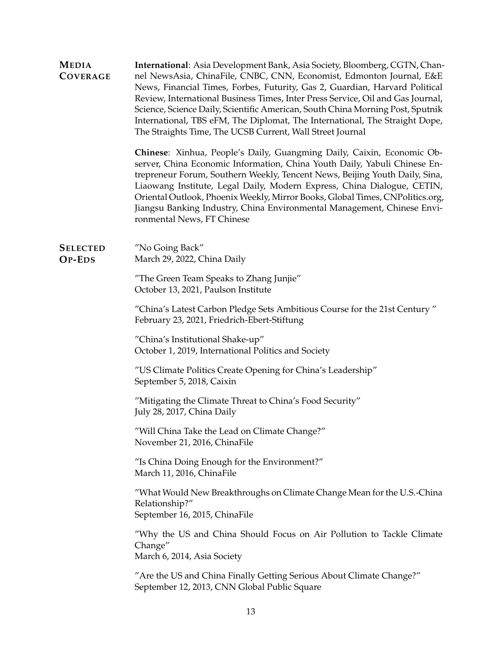**MEDIA COVERAGE International**: Asia Development Bank, Asia Society, Bloomberg, CGTN, Channel NewsAsia, ChinaFile, CNBC, CNN, Economist, Edmonton Journal, E&E News, Financial Times, Forbes, Futurity, Gas 2, Guardian, Harvard Political Review, International Business Times, Inter Press Service, Oil and Gas Journal, Science, Science Daily, Scientific American, South China Morning Post, Sputnik International, TBS eFM, The Diplomat, The International, The Straight Dope, The Straights Time, The UCSB Current, Wall Street Journal **Chinese**: Xinhua, People's Daily, Guangming Daily, Caixin, Economic Observer, China Economic Information, China Youth Daily, Yabuli Chinese Entrepreneur Forum, Southern Weekly, Tencent News, Beijing Youth Daily, Sina, Liaowang Institute, Legal Daily, Modern Express, China Dialogue, CETIN, Oriental Outlook, Phoenix Weekly, Mirror Books, Global Times, CNPolitics.org, Jiangsu Banking Industry, China Environmental Management, Chinese Environmental News, FT Chinese **SELECTED OP-EDS** "No Going Back" March 29, 2022, China Daily "The Green Team Speaks to Zhang Junjie" October 13, 2021, Paulson Institute "China's Latest Carbon Pledge Sets Ambitious Course for the 21st Century " February 23, 2021, Friedrich-Ebert-Stiftung "China's Institutional Shake-up" October 1, 2019, International Politics and Society "US Climate Politics Create Opening for China's Leadership" September 5, 2018, Caixin "Mitigating the Climate Threat to China's Food Security" July 28, 2017, China Daily "Will China Take the Lead on Climate Change?" November 21, 2016, ChinaFile "Is China Doing Enough for the Environment?" March 11, 2016, ChinaFile "What Would New Breakthroughs on Climate Change Mean for the U.S.-China Relationship?" September 16, 2015, ChinaFile "Why the US and China Should Focus on Air Pollution to Tackle Climate Change" March 6, 2014, Asia Society "Are the US and China Finally Getting Serious About Climate Change?"

September 12, 2013, CNN Global Public Square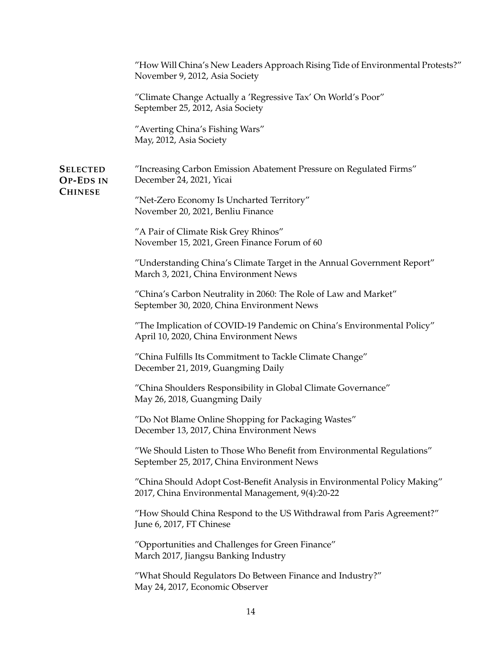|                                                       | "How Will China's New Leaders Approach Rising Tide of Environmental Protests?"<br>November 9, 2012, Asia Society              |
|-------------------------------------------------------|-------------------------------------------------------------------------------------------------------------------------------|
|                                                       | "Climate Change Actually a 'Regressive Tax' On World's Poor"<br>September 25, 2012, Asia Society                              |
|                                                       | "Averting China's Fishing Wars"<br>May, 2012, Asia Society                                                                    |
| <b>SELECTED</b><br><b>OP-EDS IN</b><br><b>CHINESE</b> | "Increasing Carbon Emission Abatement Pressure on Regulated Firms"<br>December 24, 2021, Yicai                                |
|                                                       | "Net-Zero Economy Is Uncharted Territory"<br>November 20, 2021, Benliu Finance                                                |
|                                                       | "A Pair of Climate Risk Grey Rhinos"<br>November 15, 2021, Green Finance Forum of 60                                          |
|                                                       | "Understanding China's Climate Target in the Annual Government Report"<br>March 3, 2021, China Environment News               |
|                                                       | "China's Carbon Neutrality in 2060: The Role of Law and Market"<br>September 30, 2020, China Environment News                 |
|                                                       | "The Implication of COVID-19 Pandemic on China's Environmental Policy"<br>April 10, 2020, China Environment News              |
|                                                       | "China Fulfills Its Commitment to Tackle Climate Change"<br>December 21, 2019, Guangming Daily                                |
|                                                       | "China Shoulders Responsibility in Global Climate Governance"<br>May 26, 2018, Guangming Daily                                |
|                                                       | "Do Not Blame Online Shopping for Packaging Wastes"<br>December 13, 2017, China Environment News                              |
|                                                       | "We Should Listen to Those Who Benefit from Environmental Regulations"<br>September 25, 2017, China Environment News          |
|                                                       | "China Should Adopt Cost-Benefit Analysis in Environmental Policy Making"<br>2017, China Environmental Management, 9(4):20-22 |
|                                                       | "How Should China Respond to the US Withdrawal from Paris Agreement?"<br>June 6, 2017, FT Chinese                             |
|                                                       | "Opportunities and Challenges for Green Finance"<br>March 2017, Jiangsu Banking Industry                                      |
|                                                       | "What Should Regulators Do Between Finance and Industry?"<br>May 24, 2017, Economic Observer                                  |
|                                                       |                                                                                                                               |